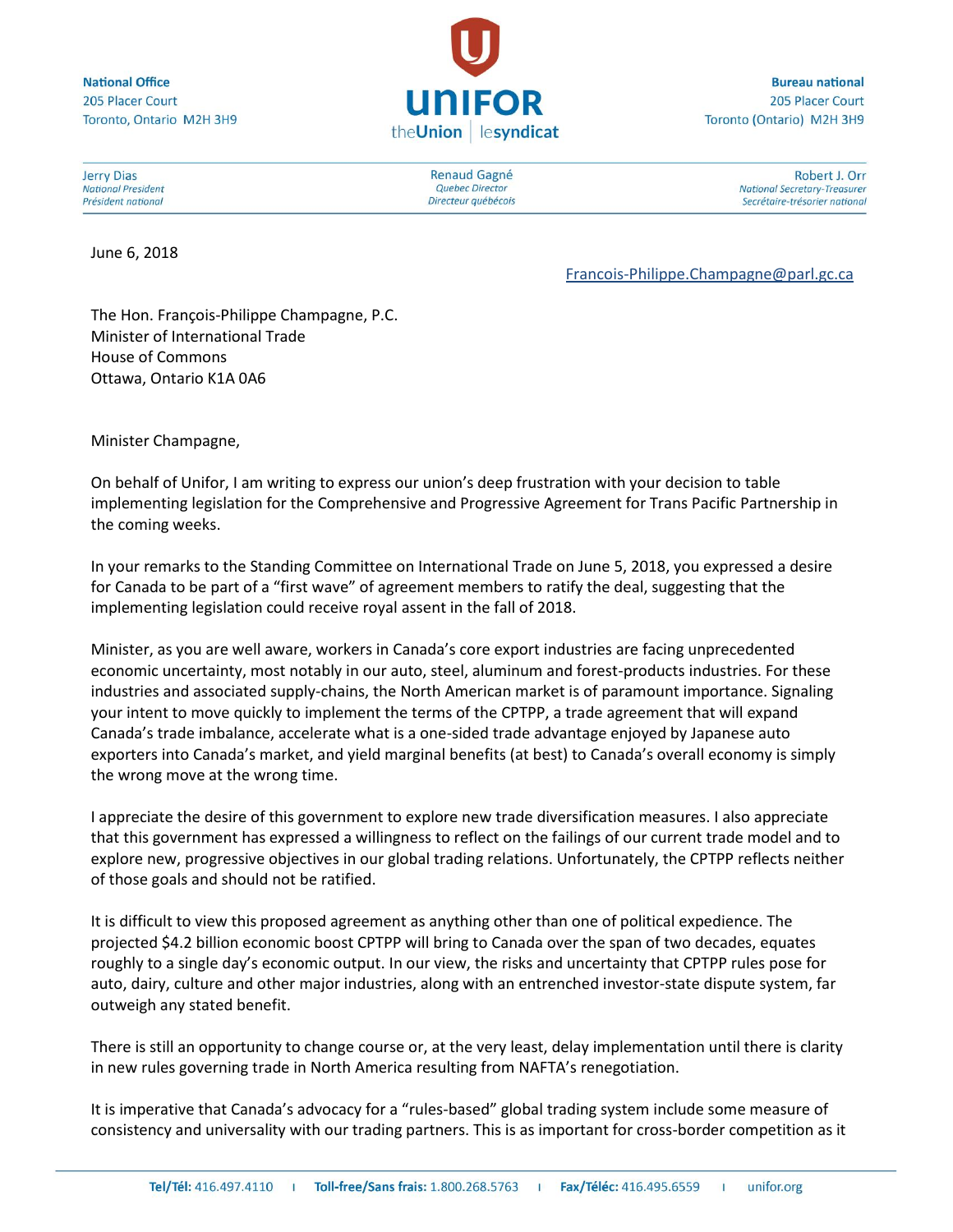**National Office** 205 Placer Court Toronto, Ontario M2H 3H9



**Bureau national** 205 Placer Court Toronto (Ontario) M2H 3H9

**Jerry Dias National President** Président national

June 6, 2018

**Renaud Gagné Quebec Director** Directeur québécois

Robert J. Orr **National Secretary-Treasurer** Secrétaire-trésorier national

[Francois-Philippe.Champagne@parl.gc.ca](mailto:Francois-Philippe.Champagne@parl.gc.ca)

The Hon. François-Philippe Champagne, P.C. Minister of International Trade House of Commons Ottawa, Ontario K1A 0A6

Minister Champagne,

On behalf of Unifor, I am writing to express our union's deep frustration with your decision to table implementing legislation for the Comprehensive and Progressive Agreement for Trans Pacific Partnership in the coming weeks.

In your remarks to the Standing Committee on International Trade on June 5, 2018, you expressed a desire for Canada to be part of a "first wave" of agreement members to ratify the deal, suggesting that the implementing legislation could receive royal assent in the fall of 2018.

Minister, as you are well aware, workers in Canada's core export industries are facing unprecedented economic uncertainty, most notably in our auto, steel, aluminum and forest-products industries. For these industries and associated supply-chains, the North American market is of paramount importance. Signaling your intent to move quickly to implement the terms of the CPTPP, a trade agreement that will expand Canada's trade imbalance, accelerate what is a one-sided trade advantage enjoyed by Japanese auto exporters into Canada's market, and yield marginal benefits (at best) to Canada's overall economy is simply the wrong move at the wrong time.

I appreciate the desire of this government to explore new trade diversification measures. I also appreciate that this government has expressed a willingness to reflect on the failings of our current trade model and to explore new, progressive objectives in our global trading relations. Unfortunately, the CPTPP reflects neither of those goals and should not be ratified.

It is difficult to view this proposed agreement as anything other than one of political expedience. The projected \$4.2 billion economic boost CPTPP will bring to Canada over the span of two decades, equates roughly to a single day's economic output. In our view, the risks and uncertainty that CPTPP rules pose for auto, dairy, culture and other major industries, along with an entrenched investor-state dispute system, far outweigh any stated benefit.

There is still an opportunity to change course or, at the very least, delay implementation until there is clarity in new rules governing trade in North America resulting from NAFTA's renegotiation.

It is imperative that Canada's advocacy for a "rules-based" global trading system include some measure of consistency and universality with our trading partners. This is as important for cross-border competition as it